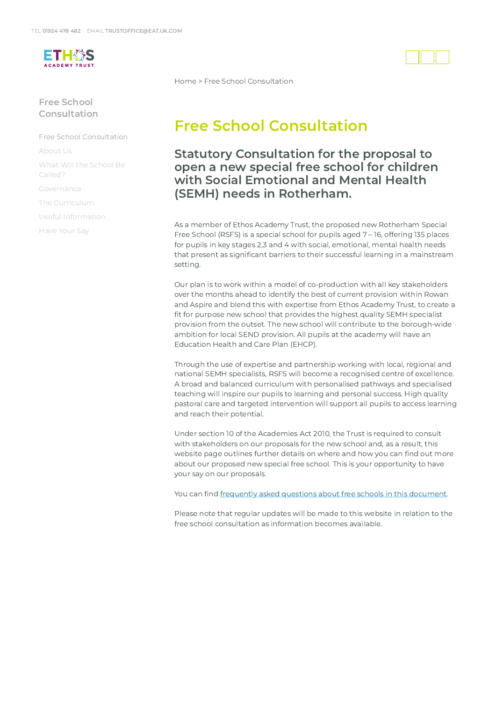

## Free School Consultation

Free School [Consultation](https://www.eat.uk.com/free-school-consultation/)

[About](https://www.eat.uk.com/free-school-consultation/about-us/) Us

What Will the School Be [Called?](https://www.eat.uk.com/free-school-consultation/what-will-the-school-be-called/)

[Governance](https://www.eat.uk.com/free-school-consultation/governance/)

The [Curriculum](https://www.eat.uk.com/free-school-consultation/the-curriculum/)

Useful [Information](https://www.eat.uk.com/free-school-consultation/useful-information/)

[Have](https://www.eat.uk.com/free-school-consultation/have-your-say/) Your Say

[Home](https://www.eat.uk.com/) > Free School Consultation

## Free School Consultation

Statutory Consultation for the proposal to open a new special free school for children with Social Emotional and Mental Health (SEMH) needs in Rotherham.

As a member of Ethos Academy Trust, the proposed new Rotherham Special Free School (RSFS) is a special school for pupils aged 7 – 16, offering 135 places for pupils in key stages 2,3 and 4 with social, emotional, mental health needs that present as significant barriers to their successful learning in a mainstream setting.

Our plan is to work within a model of co-production with all key stakeholders over the months ahead to identify the best of current provision within Rowan and Aspire and blend this with expertise from Ethos Academy Trust, to create a fit for purpose new school that provides the highest quality SEMH specialist provision from the outset. The new school will contribute to the borough-wide ambition for local SEND provision. All pupils at the academy will have an Education Health and Care Plan (EHCP).

Through the use of expertise and partnership working with local, regional and national SEMH specialists, RSFS will become a recognised centre of excellence. A broad and balanced curriculum with personalised pathways and specialised teaching will inspire our pupils to learning and personal success. High quality pastoral care and targeted intervention will support all pupils to access learning and reach their potential.

Under section 10 of the Academies Act 2010, the Trust is required to consult with stakeholders on our proposals for the new school and, as a result, this website page outlines further details on where and how you can find out more about our proposed new special free school. This is your opportunity to have your say on our proposals.

You can find frequently asked questions about free schools in this [document](https://www.eat.uk.com/wp-content/uploads/2022/04/Stakeholder-FAQs-05-04-22-1.pdf).

Please note that regular updates will be made to this website in relation to the free school consultation as information becomes available.